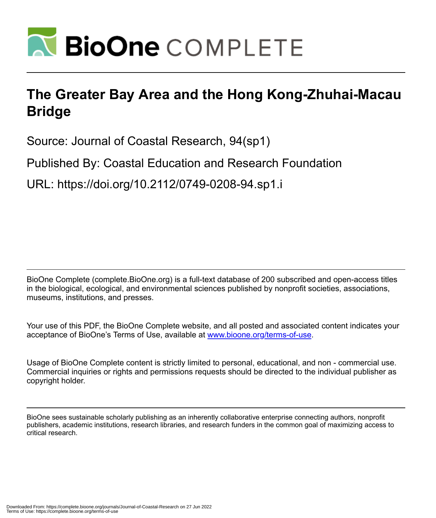

## **The Greater Bay Area and the Hong Kong-Zhuhai-Macau Bridge**

Source: Journal of Coastal Research, 94(sp1)

Published By: Coastal Education and Research Foundation

URL: https://doi.org/10.2112/0749-0208-94.sp1.i

BioOne Complete (complete.BioOne.org) is a full-text database of 200 subscribed and open-access titles in the biological, ecological, and environmental sciences published by nonprofit societies, associations, museums, institutions, and presses.

Your use of this PDF, the BioOne Complete website, and all posted and associated content indicates your acceptance of BioOne's Terms of Use, available at www.bioone.org/terms-of-use.

Usage of BioOne Complete content is strictly limited to personal, educational, and non - commercial use. Commercial inquiries or rights and permissions requests should be directed to the individual publisher as copyright holder.

BioOne sees sustainable scholarly publishing as an inherently collaborative enterprise connecting authors, nonprofit publishers, academic institutions, research libraries, and research funders in the common goal of maximizing access to critical research.